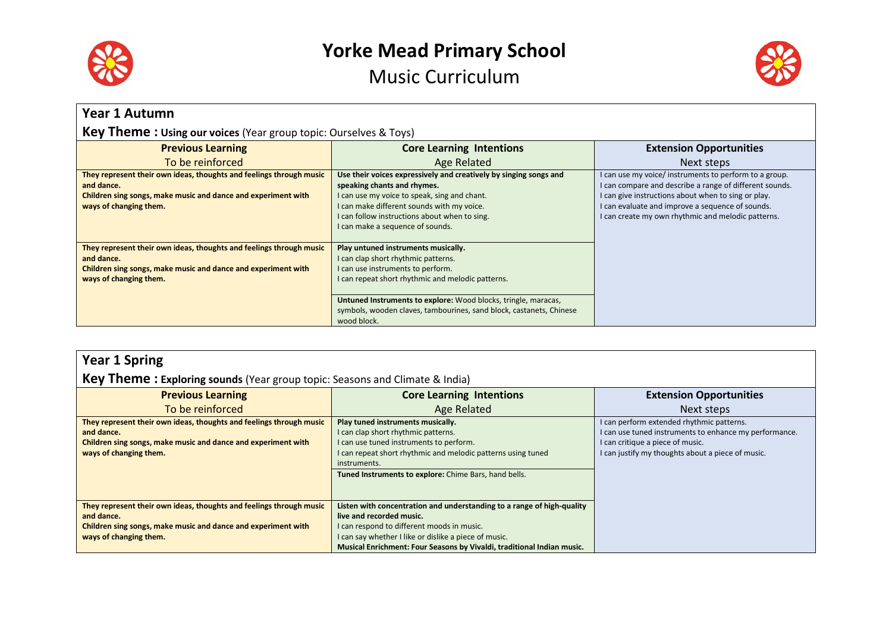

# **Yorke Mead Primary School**





| <b>Year 1 Autumn</b>                                                                                                                                                         |                                                                                                                                                                                                                                                                                                                              |                                                                                                                                                                                                                                                                                    |
|------------------------------------------------------------------------------------------------------------------------------------------------------------------------------|------------------------------------------------------------------------------------------------------------------------------------------------------------------------------------------------------------------------------------------------------------------------------------------------------------------------------|------------------------------------------------------------------------------------------------------------------------------------------------------------------------------------------------------------------------------------------------------------------------------------|
| <b>Key Theme: Using our voices</b> (Year group topic: Ourselves & Toys)                                                                                                      |                                                                                                                                                                                                                                                                                                                              |                                                                                                                                                                                                                                                                                    |
| <b>Previous Learning</b>                                                                                                                                                     | <b>Core Learning Intentions</b>                                                                                                                                                                                                                                                                                              | <b>Extension Opportunities</b>                                                                                                                                                                                                                                                     |
| To be reinforced                                                                                                                                                             | Age Related                                                                                                                                                                                                                                                                                                                  | Next steps                                                                                                                                                                                                                                                                         |
| They represent their own ideas, thoughts and feelings through music<br>and dance.<br>Children sing songs, make music and dance and experiment with<br>ways of changing them. | Use their voices expressively and creatively by singing songs and<br>speaking chants and rhymes.<br>I can use my voice to speak, sing and chant.<br>I can make different sounds with my voice.<br>I can follow instructions about when to sing.<br>I can make a sequence of sounds.                                          | I can use my voice/ instruments to perform to a group.<br>I can compare and describe a range of different sounds.<br>I can give instructions about when to sing or play.<br>I can evaluate and improve a sequence of sounds.<br>I can create my own rhythmic and melodic patterns. |
| They represent their own ideas, thoughts and feelings through music<br>and dance.<br>Children sing songs, make music and dance and experiment with<br>ways of changing them. | Play untuned instruments musically.<br>I can clap short rhythmic patterns.<br>I can use instruments to perform.<br>I can repeat short rhythmic and melodic patterns.<br>Untuned Instruments to explore: Wood blocks, tringle, maracas,<br>symbols, wooden claves, tambourines, sand block, castanets, Chinese<br>wood block. |                                                                                                                                                                                                                                                                                    |

### **Year 1 Spring**

#### **Key Theme : Exploring sounds** (Year group topic: Seasons and Climate & India)

| <b>Previous Learning</b>                                            | <b>Core Learning Intentions</b>                                        | <b>Extension Opportunities</b>                         |
|---------------------------------------------------------------------|------------------------------------------------------------------------|--------------------------------------------------------|
| To be reinforced                                                    | Age Related                                                            | Next steps                                             |
| They represent their own ideas, thoughts and feelings through music | Play tuned instruments musically.                                      | I can perform extended rhythmic patterns.              |
| and dance.                                                          | I can clap short rhythmic patterns.                                    | I can use tuned instruments to enhance my performance. |
| Children sing songs, make music and dance and experiment with       | I can use tuned instruments to perform.                                | I can critique a piece of music.                       |
| ways of changing them.                                              | I can repeat short rhythmic and melodic patterns using tuned           | I can justify my thoughts about a piece of music.      |
|                                                                     | instruments.                                                           |                                                        |
|                                                                     | Tuned Instruments to explore: Chime Bars, hand bells.                  |                                                        |
|                                                                     |                                                                        |                                                        |
|                                                                     |                                                                        |                                                        |
| They represent their own ideas, thoughts and feelings through music | Listen with concentration and understanding to a range of high-quality |                                                        |
| and dance.                                                          | live and recorded music.                                               |                                                        |
| Children sing songs, make music and dance and experiment with       | I can respond to different moods in music.                             |                                                        |
| ways of changing them.                                              | I can say whether I like or dislike a piece of music.                  |                                                        |
|                                                                     | Musical Enrichment: Four Seasons by Vivaldi, traditional Indian music. |                                                        |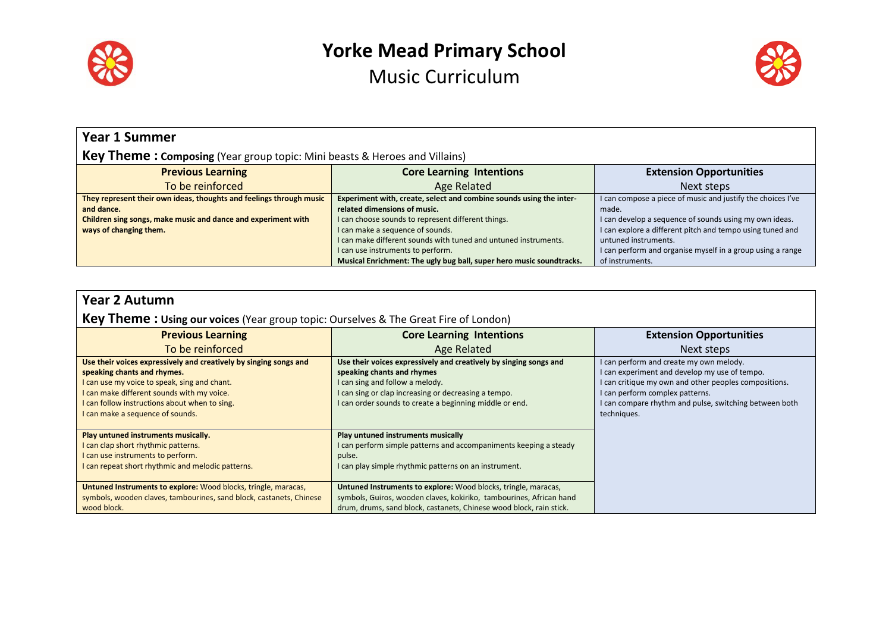



| <b>Year 1 Summer</b>                                                              |                                                                      |                                                             |
|-----------------------------------------------------------------------------------|----------------------------------------------------------------------|-------------------------------------------------------------|
| <b>Key Theme: Composing</b> (Year group topic: Mini beasts & Heroes and Villains) |                                                                      |                                                             |
| <b>Previous Learning</b>                                                          | <b>Core Learning Intentions</b>                                      | <b>Extension Opportunities</b>                              |
| To be reinforced                                                                  | <b>Age Related</b>                                                   | Next steps                                                  |
| They represent their own ideas, thoughts and feelings through music               | Experiment with, create, select and combine sounds using the inter-  | I can compose a piece of music and justify the choices I've |
| and dance.                                                                        | related dimensions of music.                                         | made.                                                       |
| Children sing songs, make music and dance and experiment with                     | I can choose sounds to represent different things.                   | I can develop a sequence of sounds using my own ideas.      |
| ways of changing them.                                                            | I can make a sequence of sounds.                                     | I can explore a different pitch and tempo using tuned and   |
|                                                                                   | I can make different sounds with tuned and untuned instruments.      | untuned instruments.                                        |
|                                                                                   | I can use instruments to perform.                                    | I can perform and organise myself in a group using a range  |
|                                                                                   | Musical Enrichment: The ugly bug ball, super hero music soundtracks. | of instruments.                                             |

| <b>Year 2 Autumn</b><br><b>Key Theme: Using our voices</b> (Year group topic: Ourselves & The Great Fire of London)                                                                                                                                                                 |                                                                                                                                                                                                                                                       |                                                                                                                                                                                                                                                               |
|-------------------------------------------------------------------------------------------------------------------------------------------------------------------------------------------------------------------------------------------------------------------------------------|-------------------------------------------------------------------------------------------------------------------------------------------------------------------------------------------------------------------------------------------------------|---------------------------------------------------------------------------------------------------------------------------------------------------------------------------------------------------------------------------------------------------------------|
| <b>Previous Learning</b>                                                                                                                                                                                                                                                            | <b>Core Learning Intentions</b>                                                                                                                                                                                                                       | <b>Extension Opportunities</b>                                                                                                                                                                                                                                |
| To be reinforced                                                                                                                                                                                                                                                                    | Age Related                                                                                                                                                                                                                                           | Next steps                                                                                                                                                                                                                                                    |
| Use their voices expressively and creatively by singing songs and<br>speaking chants and rhymes.<br>I can use my voice to speak, sing and chant.<br>I can make different sounds with my voice.<br>I can follow instructions about when to sing.<br>I can make a sequence of sounds. | Use their voices expressively and creatively by singing songs and<br>speaking chants and rhymes<br>I can sing and follow a melody.<br>I can sing or clap increasing or decreasing a tempo.<br>I can order sounds to create a beginning middle or end. | I can perform and create my own melody.<br>I can experiment and develop my use of tempo.<br>I can critique my own and other peoples compositions.<br>I can perform complex patterns.<br>I can compare rhythm and pulse, switching between both<br>techniques. |
| Play untuned instruments musically.<br>I can clap short rhythmic patterns.<br>I can use instruments to perform.<br>I can repeat short rhythmic and melodic patterns.                                                                                                                | Play untuned instruments musically<br>I can perform simple patterns and accompaniments keeping a steady<br>pulse.<br>I can play simple rhythmic patterns on an instrument.                                                                            |                                                                                                                                                                                                                                                               |
| <b>Untuned Instruments to explore:</b> Wood blocks, tringle, maracas,<br>symbols, wooden claves, tambourines, sand block, castanets, Chinese<br>wood block.                                                                                                                         | Untuned Instruments to explore: Wood blocks, tringle, maracas,<br>symbols, Guiros, wooden claves, kokiriko, tambourines, African hand<br>drum, drums, sand block, castanets, Chinese wood block, rain stick.                                          |                                                                                                                                                                                                                                                               |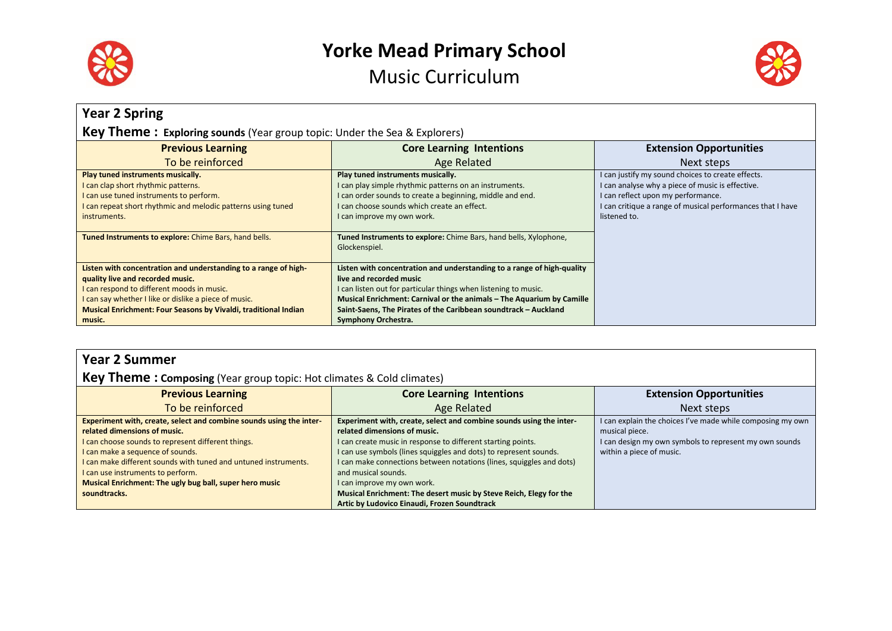



| <b>Year 2 Spring</b>                                                                                                                                                                          |                                                                                                                                                                                                                                       |                                                                                                                                                                                                                           |  |
|-----------------------------------------------------------------------------------------------------------------------------------------------------------------------------------------------|---------------------------------------------------------------------------------------------------------------------------------------------------------------------------------------------------------------------------------------|---------------------------------------------------------------------------------------------------------------------------------------------------------------------------------------------------------------------------|--|
| Key Theme: Exploring sounds (Year group topic: Under the Sea & Explorers)                                                                                                                     |                                                                                                                                                                                                                                       |                                                                                                                                                                                                                           |  |
| <b>Previous Learning</b>                                                                                                                                                                      | <b>Core Learning Intentions</b>                                                                                                                                                                                                       | <b>Extension Opportunities</b>                                                                                                                                                                                            |  |
| To be reinforced                                                                                                                                                                              | Age Related                                                                                                                                                                                                                           | Next steps                                                                                                                                                                                                                |  |
| Play tuned instruments musically.<br>can clap short rhythmic patterns.<br>can use tuned instruments to perform.<br>can repeat short rhythmic and melodic patterns using tuned<br>instruments. | Play tuned instruments musically.<br>I can play simple rhythmic patterns on an instruments.<br>I can order sounds to create a beginning, middle and end.<br>I can choose sounds which create an effect.<br>I can improve my own work. | I can justify my sound choices to create effects.<br>I can analyse why a piece of music is effective.<br>I can reflect upon my performance.<br>I can critique a range of musical performances that I have<br>listened to. |  |
| Tuned Instruments to explore: Chime Bars, hand bells.                                                                                                                                         | Tuned Instruments to explore: Chime Bars, hand bells, Xylophone,<br>Glockenspiel.                                                                                                                                                     |                                                                                                                                                                                                                           |  |
| Listen with concentration and understanding to a range of high-<br>quality live and recorded music.                                                                                           | Listen with concentration and understanding to a range of high-quality<br>live and recorded music                                                                                                                                     |                                                                                                                                                                                                                           |  |
| can respond to different moods in music.                                                                                                                                                      | can listen out for particular things when listening to music.                                                                                                                                                                         |                                                                                                                                                                                                                           |  |
| I can say whether I like or dislike a piece of music.<br><b>Musical Enrichment: Four Seasons by Vivaldi, traditional Indian</b>                                                               | Musical Enrichment: Carnival or the animals - The Aquarium by Camille<br>Saint-Saens, The Pirates of the Caribbean soundtrack - Auckland                                                                                              |                                                                                                                                                                                                                           |  |
| music.                                                                                                                                                                                        | Symphony Orchestra.                                                                                                                                                                                                                   |                                                                                                                                                                                                                           |  |

### **Year 2 Summer**

#### **Key Theme: Composing** (Year group topic: Hot climates & Cold climates)

| <b>Previous Learning</b>                                            | <b>Core Learning Intentions</b>                                      | <b>Extension Opportunities</b>                             |
|---------------------------------------------------------------------|----------------------------------------------------------------------|------------------------------------------------------------|
| To be reinforced                                                    | <b>Age Related</b>                                                   | Next steps                                                 |
| Experiment with, create, select and combine sounds using the inter- | Experiment with, create, select and combine sounds using the inter-  | I can explain the choices I've made while composing my own |
| related dimensions of music.                                        | related dimensions of music.                                         | musical piece.                                             |
| I can choose sounds to represent different things.                  | I can create music in response to different starting points.         | I can design my own symbols to represent my own sounds     |
| I can make a sequence of sounds.                                    | I can use symbols (lines squiggles and dots) to represent sounds.    | within a piece of music.                                   |
| I can make different sounds with tuned and untuned instruments.     | I can make connections between notations (lines, squiggles and dots) |                                                            |
| I can use instruments to perform.                                   | and musical sounds.                                                  |                                                            |
| Musical Enrichment: The ugly bug ball, super hero music             | I can improve my own work.                                           |                                                            |
| soundtracks.                                                        | Musical Enrichment: The desert music by Steve Reich, Elegy for the   |                                                            |
|                                                                     | Artic by Ludovico Einaudi, Frozen Soundtrack                         |                                                            |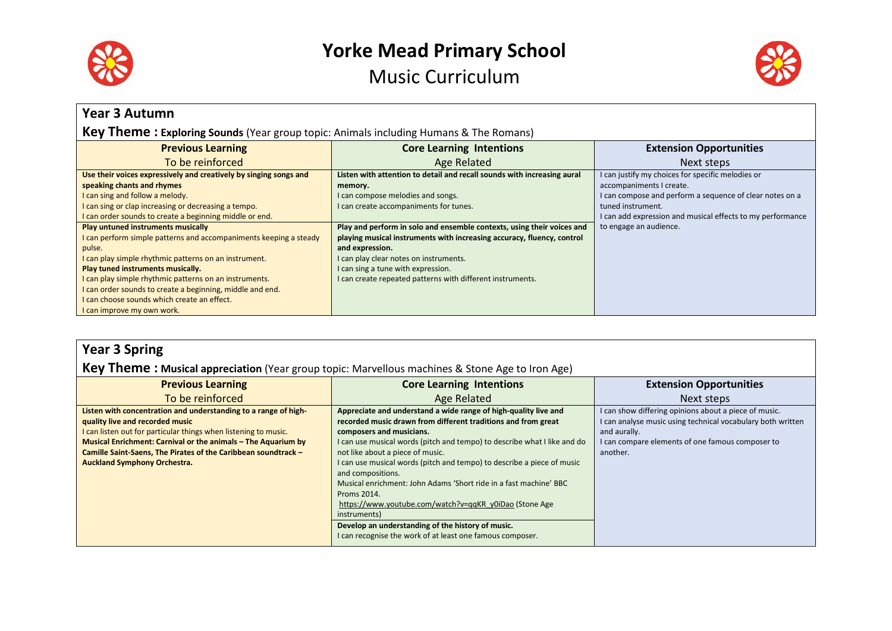



| <b>Year 3 Autumn</b>                                                                         |                                                                         |                                                            |  |
|----------------------------------------------------------------------------------------------|-------------------------------------------------------------------------|------------------------------------------------------------|--|
| <b>Key Theme: Exploring Sounds</b> (Year group topic: Animals including Humans & The Romans) |                                                                         |                                                            |  |
| <b>Previous Learning</b>                                                                     | <b>Core Learning Intentions</b>                                         | <b>Extension Opportunities</b>                             |  |
| To be reinforced                                                                             | Age Related                                                             | Next steps                                                 |  |
| Use their voices expressively and creatively by singing songs and                            | Listen with attention to detail and recall sounds with increasing aural | I can justify my choices for specific melodies or          |  |
| speaking chants and rhymes                                                                   | memory.                                                                 | accompaniments I create.                                   |  |
| I can sing and follow a melody.                                                              | I can compose melodies and songs.                                       | I can compose and perform a sequence of clear notes on a   |  |
| I can sing or clap increasing or decreasing a tempo.                                         | I can create accompaniments for tunes.                                  | tuned instrument.                                          |  |
| I can order sounds to create a beginning middle or end.                                      |                                                                         | I can add expression and musical effects to my performance |  |
| <b>Play untuned instruments musically</b>                                                    | Play and perform in solo and ensemble contexts, using their voices and  | to engage an audience.                                     |  |
| I can perform simple patterns and accompaniments keeping a steady                            | playing musical instruments with increasing accuracy, fluency, control  |                                                            |  |
| pulse.                                                                                       | and expression.                                                         |                                                            |  |
| I can play simple rhythmic patterns on an instrument.                                        | I can play clear notes on instruments.                                  |                                                            |  |
| Play tuned instruments musically.                                                            | I can sing a tune with expression.                                      |                                                            |  |
| I can play simple rhythmic patterns on an instruments.                                       | I can create repeated patterns with different instruments.              |                                                            |  |
| I can order sounds to create a beginning, middle and end.                                    |                                                                         |                                                            |  |
| I can choose sounds which create an effect.                                                  |                                                                         |                                                            |  |
| I can improve my own work.                                                                   |                                                                         |                                                            |  |

| <b>Year 3 Spring</b>                                                                                                                                                                                                                                                                                                                            |                                                                                                                                                                                                                                                                                                                                                                                                                                                                                                                                                                                                                                                             |                                                                                                                                                                                                      |  |
|-------------------------------------------------------------------------------------------------------------------------------------------------------------------------------------------------------------------------------------------------------------------------------------------------------------------------------------------------|-------------------------------------------------------------------------------------------------------------------------------------------------------------------------------------------------------------------------------------------------------------------------------------------------------------------------------------------------------------------------------------------------------------------------------------------------------------------------------------------------------------------------------------------------------------------------------------------------------------------------------------------------------------|------------------------------------------------------------------------------------------------------------------------------------------------------------------------------------------------------|--|
| <b>Key Theme: Musical appreciation</b> (Year group topic: Marvellous machines & Stone Age to Iron Age)                                                                                                                                                                                                                                          |                                                                                                                                                                                                                                                                                                                                                                                                                                                                                                                                                                                                                                                             |                                                                                                                                                                                                      |  |
| <b>Previous Learning</b>                                                                                                                                                                                                                                                                                                                        | <b>Core Learning Intentions</b>                                                                                                                                                                                                                                                                                                                                                                                                                                                                                                                                                                                                                             | <b>Extension Opportunities</b>                                                                                                                                                                       |  |
| To be reinforced                                                                                                                                                                                                                                                                                                                                | Age Related                                                                                                                                                                                                                                                                                                                                                                                                                                                                                                                                                                                                                                                 | Next steps                                                                                                                                                                                           |  |
| Listen with concentration and understanding to a range of high-<br>quality live and recorded music<br>I can listen out for particular things when listening to music.<br>Musical Enrichment: Carnival or the animals - The Aquarium by<br>Camille Saint-Saens, The Pirates of the Caribbean soundtrack -<br><b>Auckland Symphony Orchestra.</b> | Appreciate and understand a wide range of high-quality live and<br>recorded music drawn from different traditions and from great<br>composers and musicians.<br>I can use musical words (pitch and tempo) to describe what I like and do<br>not like about a piece of music.<br>I can use musical words (pitch and tempo) to describe a piece of music<br>and compositions.<br>Musical enrichment: John Adams 'Short ride in a fast machine' BBC<br>Proms 2014.<br>https://www.youtube.com/watch?v=qqKR_y0iDao (Stone Age<br>instruments)<br>Develop an understanding of the history of music.<br>I can recognise the work of at least one famous composer. | I can show differing opinions about a piece of music.<br>I can analyse music using technical vocabulary both written<br>and aurally.<br>I can compare elements of one famous composer to<br>another. |  |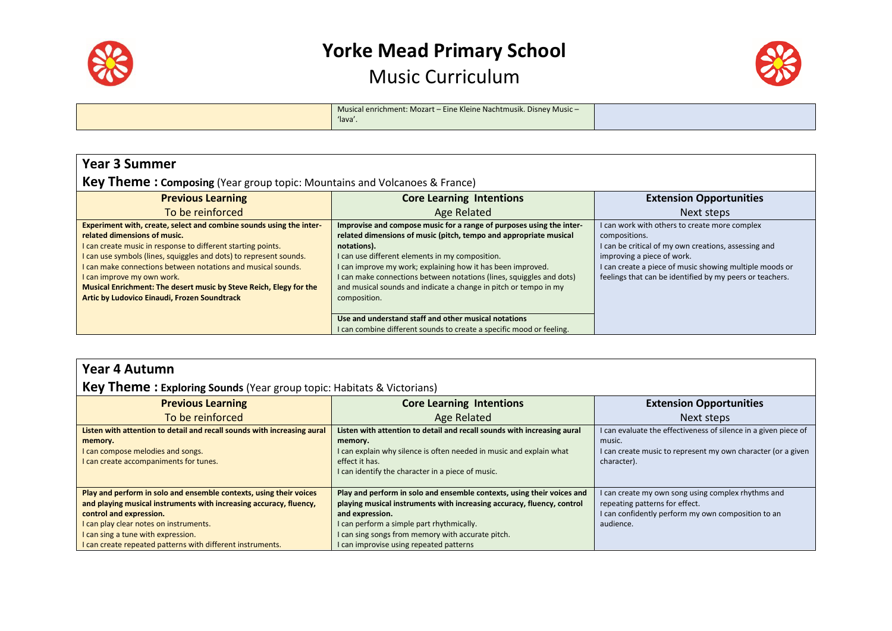



|  | Musical enrichment: Mozart – Eine Kleine Nachtmusik. Disney Music –<br>'lava'. |  |
|--|--------------------------------------------------------------------------------|--|
|--|--------------------------------------------------------------------------------|--|

| <b>Year 3 Summer</b>                                                                                                                                                                                                                                                                                                                                                                                                                                          |                                                                                                                                                                                                                                                                                                                                                                                                                                        |                                                                                                                                                                                                                                                                             |  |
|---------------------------------------------------------------------------------------------------------------------------------------------------------------------------------------------------------------------------------------------------------------------------------------------------------------------------------------------------------------------------------------------------------------------------------------------------------------|----------------------------------------------------------------------------------------------------------------------------------------------------------------------------------------------------------------------------------------------------------------------------------------------------------------------------------------------------------------------------------------------------------------------------------------|-----------------------------------------------------------------------------------------------------------------------------------------------------------------------------------------------------------------------------------------------------------------------------|--|
| <b>Key Theme: Composing</b> (Year group topic: Mountains and Volcanoes & France)                                                                                                                                                                                                                                                                                                                                                                              |                                                                                                                                                                                                                                                                                                                                                                                                                                        |                                                                                                                                                                                                                                                                             |  |
| <b>Previous Learning</b>                                                                                                                                                                                                                                                                                                                                                                                                                                      | <b>Core Learning Intentions</b>                                                                                                                                                                                                                                                                                                                                                                                                        | <b>Extension Opportunities</b>                                                                                                                                                                                                                                              |  |
| To be reinforced                                                                                                                                                                                                                                                                                                                                                                                                                                              | Age Related                                                                                                                                                                                                                                                                                                                                                                                                                            | Next steps                                                                                                                                                                                                                                                                  |  |
| Experiment with, create, select and combine sounds using the inter-<br>related dimensions of music.<br>I can create music in response to different starting points.<br>I can use symbols (lines, squiggles and dots) to represent sounds.<br>I can make connections between notations and musical sounds.<br>I can improve my own work.<br>Musical Enrichment: The desert music by Steve Reich, Elegy for the<br>Artic by Ludovico Einaudi, Frozen Soundtrack | Improvise and compose music for a range of purposes using the inter-<br>related dimensions of music (pitch, tempo and appropriate musical<br>notations).<br>I can use different elements in my composition.<br>I can improve my work; explaining how it has been improved.<br>I can make connections between notations (lines, squiggles and dots)<br>and musical sounds and indicate a change in pitch or tempo in my<br>composition. | I can work with others to create more complex<br>compositions.<br>I can be critical of my own creations, assessing and<br>improving a piece of work.<br>I can create a piece of music showing multiple moods or<br>feelings that can be identified by my peers or teachers. |  |
|                                                                                                                                                                                                                                                                                                                                                                                                                                                               | Use and understand staff and other musical notations<br>I can combine different sounds to create a specific mood or feeling.                                                                                                                                                                                                                                                                                                           |                                                                                                                                                                                                                                                                             |  |

### **Year 4 Autumn**

### **Key Theme : Exploring Sounds** (Year group topic: Habitats & Victorians)

| <b>Previous Learning</b>                                                                                                                                                                                                                                                                                          | <b>Core Learning Intentions</b>                                                                                                                                                                                                                                                                                  | <b>Extension Opportunities</b>                                                                                                                           |
|-------------------------------------------------------------------------------------------------------------------------------------------------------------------------------------------------------------------------------------------------------------------------------------------------------------------|------------------------------------------------------------------------------------------------------------------------------------------------------------------------------------------------------------------------------------------------------------------------------------------------------------------|----------------------------------------------------------------------------------------------------------------------------------------------------------|
| To be reinforced                                                                                                                                                                                                                                                                                                  | Age Related                                                                                                                                                                                                                                                                                                      | Next steps                                                                                                                                               |
| Listen with attention to detail and recall sounds with increasing aural<br>memory.<br>I can compose melodies and songs.<br>I can create accompaniments for tunes.                                                                                                                                                 | Listen with attention to detail and recall sounds with increasing aural<br>memory.<br>I can explain why silence is often needed in music and explain what<br>effect it has.<br>I can identify the character in a piece of music.                                                                                 | I can evaluate the effectiveness of silence in a given piece of<br>music.<br>I can create music to represent my own character (or a given<br>character). |
| Play and perform in solo and ensemble contexts, using their voices<br>and playing musical instruments with increasing accuracy, fluency,<br>control and expression.<br>I can play clear notes on instruments.<br>I can sing a tune with expression.<br>I can create repeated patterns with different instruments. | Play and perform in solo and ensemble contexts, using their voices and<br>playing musical instruments with increasing accuracy, fluency, control<br>and expression.<br>I can perform a simple part rhythmically.<br>I can sing songs from memory with accurate pitch.<br>I can improvise using repeated patterns | I can create my own song using complex rhythms and<br>repeating patterns for effect.<br>I can confidently perform my own composition to an<br>audience.  |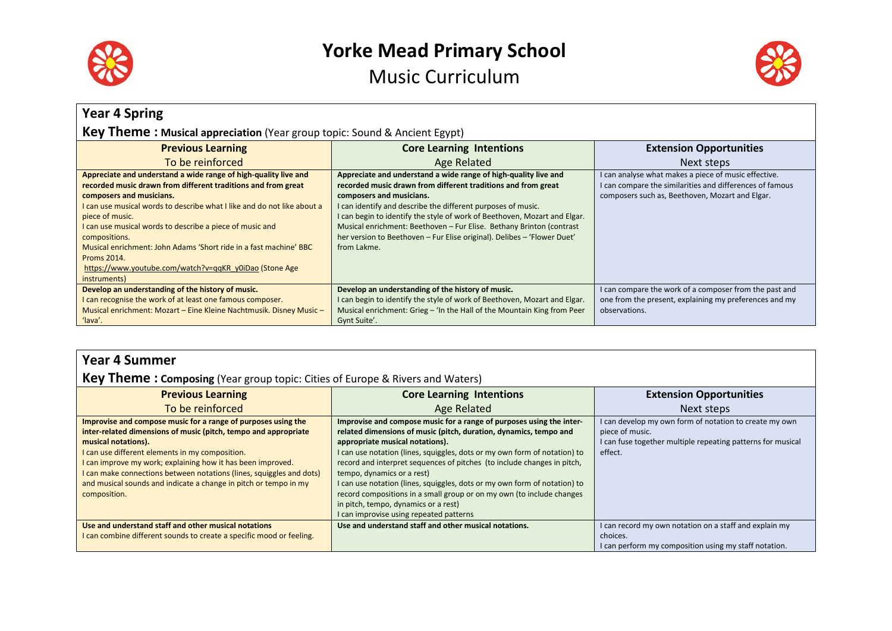



| <b>Year 4 Spring</b>                                                                                                                                                                                                                                                                                                                                                                                                                                                                                         |                                                                                                                                                                                                                                                                                                                                                                                                                                                                             |                                                                                                                                                                 |
|--------------------------------------------------------------------------------------------------------------------------------------------------------------------------------------------------------------------------------------------------------------------------------------------------------------------------------------------------------------------------------------------------------------------------------------------------------------------------------------------------------------|-----------------------------------------------------------------------------------------------------------------------------------------------------------------------------------------------------------------------------------------------------------------------------------------------------------------------------------------------------------------------------------------------------------------------------------------------------------------------------|-----------------------------------------------------------------------------------------------------------------------------------------------------------------|
| <b>Key Theme: Musical appreciation</b> (Year group topic: Sound & Ancient Egypt)                                                                                                                                                                                                                                                                                                                                                                                                                             |                                                                                                                                                                                                                                                                                                                                                                                                                                                                             |                                                                                                                                                                 |
| <b>Previous Learning</b>                                                                                                                                                                                                                                                                                                                                                                                                                                                                                     | <b>Core Learning Intentions</b>                                                                                                                                                                                                                                                                                                                                                                                                                                             | <b>Extension Opportunities</b>                                                                                                                                  |
| To be reinforced                                                                                                                                                                                                                                                                                                                                                                                                                                                                                             | Age Related                                                                                                                                                                                                                                                                                                                                                                                                                                                                 | Next steps                                                                                                                                                      |
| Appreciate and understand a wide range of high-quality live and<br>recorded music drawn from different traditions and from great<br>composers and musicians.<br>I can use musical words to describe what I like and do not like about a<br>piece of music.<br>I can use musical words to describe a piece of music and<br>compositions.<br>Musical enrichment: John Adams 'Short ride in a fast machine' BBC<br><b>Proms 2014.</b><br>https://www.youtube.com/watch?v=qqKR_y0iDao (Stone Age<br>instruments) | Appreciate and understand a wide range of high-quality live and<br>recorded music drawn from different traditions and from great<br>composers and musicians.<br>I can identify and describe the different purposes of music.<br>I can begin to identify the style of work of Beethoven, Mozart and Elgar.<br>Musical enrichment: Beethoven - Fur Elise. Bethany Brinton (contrast<br>her version to Beethoven - Fur Elise original). Delibes - 'Flower Duet'<br>from Lakme. | can analyse what makes a piece of music effective.<br>can compare the similarities and differences of famous<br>composers such as, Beethoven, Mozart and Elgar. |
| Develop an understanding of the history of music.<br>I can recognise the work of at least one famous composer.<br>Musical enrichment: Mozart - Eine Kleine Nachtmusik. Disney Music -<br>'lava'.                                                                                                                                                                                                                                                                                                             | Develop an understanding of the history of music.<br>I can begin to identify the style of work of Beethoven, Mozart and Elgar.<br>Musical enrichment: Grieg - 'In the Hall of the Mountain King from Peer<br>Gynt Suite'.                                                                                                                                                                                                                                                   | can compare the work of a composer from the past and<br>one from the present, explaining my preferences and my<br>observations.                                 |

|  | <b>Year 4 Summer</b> |  |
|--|----------------------|--|
|  |                      |  |

### **Key Theme : Composing** (Year group topic: Cities of Europe & Rivers and Waters)

| To be reinforced<br>Age Related<br>Improvise and compose music for a range of purposes using the<br>Improvise and compose music for a range of purposes using the inter-<br>I can develop my own form of notation to create my own<br>inter-related dimensions of music (pitch, tempo and appropriate<br>related dimensions of music (pitch, duration, dynamics, tempo and<br>piece of music.<br>I can fuse together multiple repeating patterns for musical<br>musical notations).<br>appropriate musical notations).<br>I can use notation (lines, squiggles, dots or my own form of notation) to<br>I can use different elements in my composition.<br>effect.<br>record and interpret sequences of pitches (to include changes in pitch,<br>I can improve my work; explaining how it has been improved. | <b>Extension Opportunities</b> |
|-------------------------------------------------------------------------------------------------------------------------------------------------------------------------------------------------------------------------------------------------------------------------------------------------------------------------------------------------------------------------------------------------------------------------------------------------------------------------------------------------------------------------------------------------------------------------------------------------------------------------------------------------------------------------------------------------------------------------------------------------------------------------------------------------------------|--------------------------------|
|                                                                                                                                                                                                                                                                                                                                                                                                                                                                                                                                                                                                                                                                                                                                                                                                             | Next steps                     |
| I can make connections between notations (lines, squiggles and dots)<br>tempo, dynamics or a rest)<br>and musical sounds and indicate a change in pitch or tempo in my<br>I can use notation (lines, squiggles, dots or my own form of notation) to<br>record compositions in a small group or on my own (to include changes<br>composition.<br>in pitch, tempo, dynamics or a rest)<br>I can improvise using repeated patterns                                                                                                                                                                                                                                                                                                                                                                             |                                |
| Use and understand staff and other musical notations<br>Use and understand staff and other musical notations.<br>I can record my own notation on a staff and explain my<br>I can combine different sounds to create a specific mood or feeling.<br>choices.<br>I can perform my composition using my staff notation.                                                                                                                                                                                                                                                                                                                                                                                                                                                                                        |                                |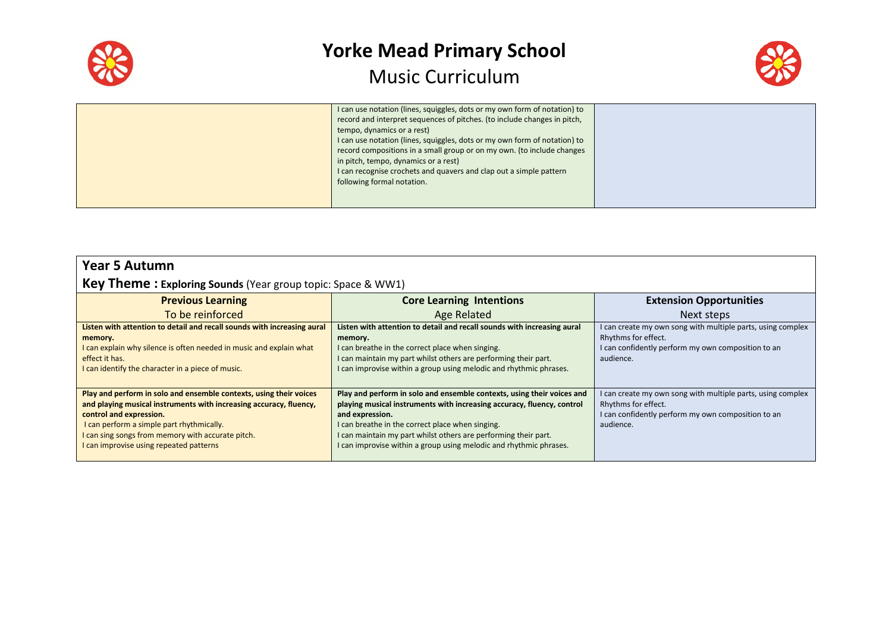

 $\blacksquare$ 

### **Yorke Mead Primary School** Music Curriculum



|  | I can use notation (lines, squiggles, dots or my own form of notation) to<br>record and interpret sequences of pitches. (to include changes in pitch,<br>tempo, dynamics or a rest)<br>I can use notation (lines, squiggles, dots or my own form of notation) to<br>record compositions in a small group or on my own. (to include changes<br>in pitch, tempo, dynamics or a rest)<br>I can recognise crochets and quavers and clap out a simple pattern<br>following formal notation. |  |
|--|----------------------------------------------------------------------------------------------------------------------------------------------------------------------------------------------------------------------------------------------------------------------------------------------------------------------------------------------------------------------------------------------------------------------------------------------------------------------------------------|--|
|--|----------------------------------------------------------------------------------------------------------------------------------------------------------------------------------------------------------------------------------------------------------------------------------------------------------------------------------------------------------------------------------------------------------------------------------------------------------------------------------------|--|

| <b>Year 5 Autumn</b>                                               |                                 |                                |
|--------------------------------------------------------------------|---------------------------------|--------------------------------|
| <b>Key Theme: Exploring Sounds</b> (Year group topic: Space & WW1) |                                 |                                |
| <b>Previous Learning</b>                                           | <b>Core Learning Intentions</b> | <b>Extension Opportunities</b> |
| To he reinforced                                                   | hetsleß en                      | Next stens                     |

| To be reinforced                                                                                                                                                                                                                                                                                                 | Age Related                                                                                                                                                                                                                                                                                                                                                      | Next steps                                                                                                                                            |
|------------------------------------------------------------------------------------------------------------------------------------------------------------------------------------------------------------------------------------------------------------------------------------------------------------------|------------------------------------------------------------------------------------------------------------------------------------------------------------------------------------------------------------------------------------------------------------------------------------------------------------------------------------------------------------------|-------------------------------------------------------------------------------------------------------------------------------------------------------|
| Listen with attention to detail and recall sounds with increasing aural<br>memory.<br>I can explain why silence is often needed in music and explain what<br>effect it has.<br>I can identify the character in a piece of music.                                                                                 | Listen with attention to detail and recall sounds with increasing aural<br>memory.<br>I can breathe in the correct place when singing.<br>I can maintain my part whilst others are performing their part.<br>I can improvise within a group using melodic and rhythmic phrases.                                                                                  | I can create my own song with multiple parts, using complex<br>Rhythms for effect.<br>I can confidently perform my own composition to an<br>audience. |
| Play and perform in solo and ensemble contexts, using their voices<br>and playing musical instruments with increasing accuracy, fluency,<br>control and expression.<br>I can perform a simple part rhythmically.<br>I can sing songs from memory with accurate pitch.<br>I can improvise using repeated patterns | Play and perform in solo and ensemble contexts, using their voices and<br>playing musical instruments with increasing accuracy, fluency, control<br>and expression.<br>I can breathe in the correct place when singing.<br>I can maintain my part whilst others are performing their part.<br>I can improvise within a group using melodic and rhythmic phrases. | I can create my own song with multiple parts, using complex<br>Rhythms for effect.<br>I can confidently perform my own composition to an<br>audience. |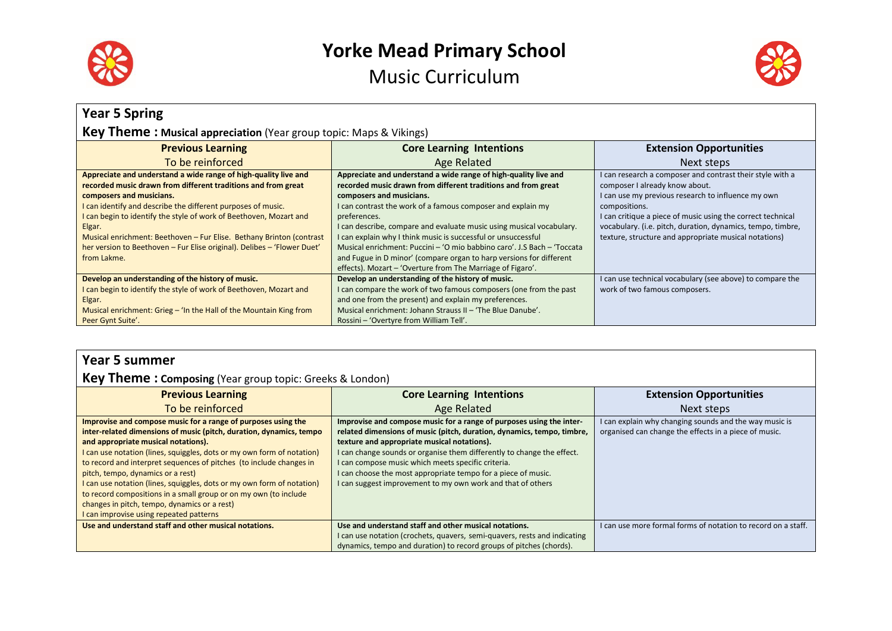



| <b>Year 5 Spring</b>                                                                                                                                                                                                                                                                                                                                                                                                                                                           |                                                                                                                                                                                                                                                                                                                                                                                                                                                                                                                                        |                                                                                                                                                                                                                                                                                                                                                           |  |  |  |  |
|--------------------------------------------------------------------------------------------------------------------------------------------------------------------------------------------------------------------------------------------------------------------------------------------------------------------------------------------------------------------------------------------------------------------------------------------------------------------------------|----------------------------------------------------------------------------------------------------------------------------------------------------------------------------------------------------------------------------------------------------------------------------------------------------------------------------------------------------------------------------------------------------------------------------------------------------------------------------------------------------------------------------------------|-----------------------------------------------------------------------------------------------------------------------------------------------------------------------------------------------------------------------------------------------------------------------------------------------------------------------------------------------------------|--|--|--|--|
|                                                                                                                                                                                                                                                                                                                                                                                                                                                                                | <b>Key Theme: Musical appreciation</b> (Year group topic: Maps & Vikings)                                                                                                                                                                                                                                                                                                                                                                                                                                                              |                                                                                                                                                                                                                                                                                                                                                           |  |  |  |  |
| <b>Previous Learning</b>                                                                                                                                                                                                                                                                                                                                                                                                                                                       | <b>Core Learning Intentions</b>                                                                                                                                                                                                                                                                                                                                                                                                                                                                                                        | <b>Extension Opportunities</b>                                                                                                                                                                                                                                                                                                                            |  |  |  |  |
| To be reinforced                                                                                                                                                                                                                                                                                                                                                                                                                                                               | Age Related                                                                                                                                                                                                                                                                                                                                                                                                                                                                                                                            | Next steps                                                                                                                                                                                                                                                                                                                                                |  |  |  |  |
| Appreciate and understand a wide range of high-quality live and<br>recorded music drawn from different traditions and from great<br>composers and musicians.<br>I can identify and describe the different purposes of music.<br>I can begin to identify the style of work of Beethoven, Mozart and<br>Elgar.<br>Musical enrichment: Beethoven - Fur Elise. Bethany Brinton (contrast<br>her version to Beethoven - Fur Elise original). Delibes - 'Flower Duet'<br>from Lakme. | Appreciate and understand a wide range of high-quality live and<br>recorded music drawn from different traditions and from great<br>composers and musicians.<br>I can contrast the work of a famous composer and explain my<br>preferences.<br>I can describe, compare and evaluate music using musical vocabulary.<br>I can explain why I think music is successful or unsuccessful<br>Musical enrichment: Puccini – 'O mio babbino caro'. J.S Bach – 'Toccata<br>and Fugue in D minor' (compare organ to harp versions for different | I can research a composer and contrast their style with a<br>composer I already know about.<br>I can use my previous research to influence my own<br>compositions.<br>I can critique a piece of music using the correct technical<br>vocabulary. (i.e. pitch, duration, dynamics, tempo, timbre,<br>texture, structure and appropriate musical notations) |  |  |  |  |
| Develop an understanding of the history of music.<br>I can begin to identify the style of work of Beethoven, Mozart and<br>Elgar.<br>Musical enrichment: Grieg – 'In the Hall of the Mountain King from<br>Peer Gynt Suite'.                                                                                                                                                                                                                                                   | effects). Mozart – 'Overture from The Marriage of Figaro'.<br>Develop an understanding of the history of music.<br>I can compare the work of two famous composers (one from the past<br>and one from the present) and explain my preferences.<br>Musical enrichment: Johann Strauss II - 'The Blue Danube'.<br>Rossini - 'Overtyre from William Tell'.                                                                                                                                                                                 | I can use technical vocabulary (see above) to compare the<br>work of two famous composers.                                                                                                                                                                                                                                                                |  |  |  |  |

### **Year 5 summer**

### **Key Theme : Composing** (Year group topic: Greeks & London)

| <b>Previous Learning</b>                                                                                                                                                                                                                                                                                                                                                                                                                                                                                                                                                                                   | <b>Core Learning Intentions</b>                                                                                                                                                                                                                                                                                                                                                                                                                               | <b>Extension Opportunities</b>                                                                                  |
|------------------------------------------------------------------------------------------------------------------------------------------------------------------------------------------------------------------------------------------------------------------------------------------------------------------------------------------------------------------------------------------------------------------------------------------------------------------------------------------------------------------------------------------------------------------------------------------------------------|---------------------------------------------------------------------------------------------------------------------------------------------------------------------------------------------------------------------------------------------------------------------------------------------------------------------------------------------------------------------------------------------------------------------------------------------------------------|-----------------------------------------------------------------------------------------------------------------|
| To be reinforced                                                                                                                                                                                                                                                                                                                                                                                                                                                                                                                                                                                           | Age Related                                                                                                                                                                                                                                                                                                                                                                                                                                                   | Next steps                                                                                                      |
| Improvise and compose music for a range of purposes using the<br>inter-related dimensions of music (pitch, duration, dynamics, tempo<br>and appropriate musical notations).<br>I can use notation (lines, squiggles, dots or my own form of notation)<br>to record and interpret sequences of pitches (to include changes in<br>pitch, tempo, dynamics or a rest)<br>I can use notation (lines, squiggles, dots or my own form of notation)<br>to record compositions in a small group or on my own (to include<br>changes in pitch, tempo, dynamics or a rest)<br>I can improvise using repeated patterns | Improvise and compose music for a range of purposes using the inter-<br>related dimensions of music (pitch, duration, dynamics, tempo, timbre,<br>texture and appropriate musical notations).<br>I can change sounds or organise them differently to change the effect.<br>I can compose music which meets specific criteria.<br>I can choose the most appropriate tempo for a piece of music.<br>I can suggest improvement to my own work and that of others | I can explain why changing sounds and the way music is<br>organised can change the effects in a piece of music. |
| Use and understand staff and other musical notations.                                                                                                                                                                                                                                                                                                                                                                                                                                                                                                                                                      | Use and understand staff and other musical notations.                                                                                                                                                                                                                                                                                                                                                                                                         | I can use more formal forms of notation to record on a staff.                                                   |
|                                                                                                                                                                                                                                                                                                                                                                                                                                                                                                                                                                                                            | can use notation (crochets, quavers, semi-quavers, rests and indicating                                                                                                                                                                                                                                                                                                                                                                                       |                                                                                                                 |
|                                                                                                                                                                                                                                                                                                                                                                                                                                                                                                                                                                                                            | dynamics, tempo and duration) to record groups of pitches (chords).                                                                                                                                                                                                                                                                                                                                                                                           |                                                                                                                 |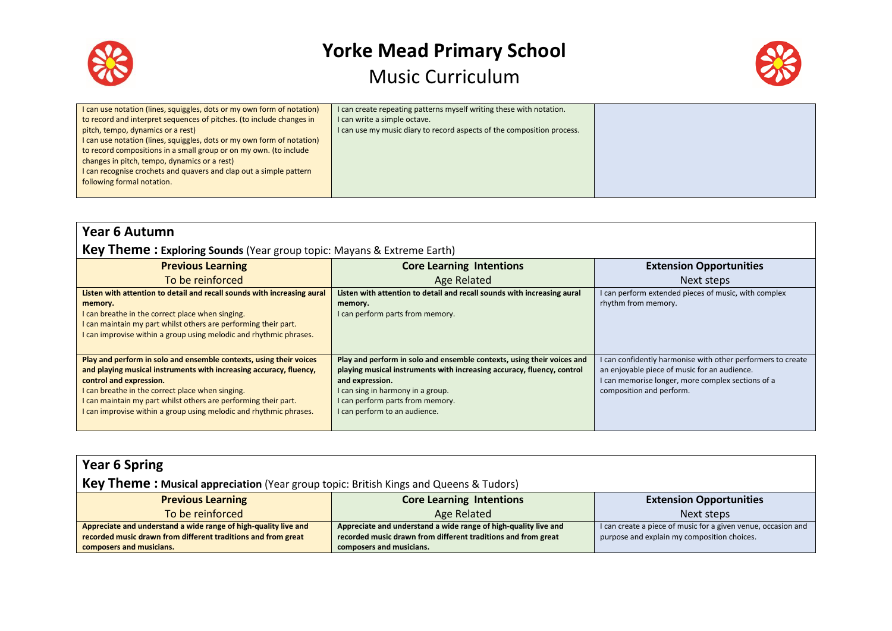



| I can use notation (lines, squiggles, dots or my own form of notation)<br>to record and interpret sequences of pitches. (to include changes in<br>pitch, tempo, dynamics or a rest)<br>I can use notation (lines, squiggles, dots or my own form of notation)<br>to record compositions in a small group or on my own. (to include<br>changes in pitch, tempo, dynamics or a rest)<br>I can recognise crochets and quavers and clap out a simple pattern<br>following formal notation. | I can create repeating patterns myself writing these with notation.<br>I can write a simple octave.<br>I can use my music diary to record aspects of the composition process. |  |
|----------------------------------------------------------------------------------------------------------------------------------------------------------------------------------------------------------------------------------------------------------------------------------------------------------------------------------------------------------------------------------------------------------------------------------------------------------------------------------------|-------------------------------------------------------------------------------------------------------------------------------------------------------------------------------|--|
|----------------------------------------------------------------------------------------------------------------------------------------------------------------------------------------------------------------------------------------------------------------------------------------------------------------------------------------------------------------------------------------------------------------------------------------------------------------------------------------|-------------------------------------------------------------------------------------------------------------------------------------------------------------------------------|--|

|  |  | <b>Year 6 Autumn</b> |
|--|--|----------------------|
|--|--|----------------------|

### **Key Theme : Exploring Sounds** (Year group topic: Mayans & Extreme Earth)

| <b>Previous Learning</b>                                                                                                                                                                                                                                                                                                                                         | <b>Core Learning Intentions</b>                                                                                                                                                                                                                                               | <b>Extension Opportunities</b>                                                                                                                                                               |
|------------------------------------------------------------------------------------------------------------------------------------------------------------------------------------------------------------------------------------------------------------------------------------------------------------------------------------------------------------------|-------------------------------------------------------------------------------------------------------------------------------------------------------------------------------------------------------------------------------------------------------------------------------|----------------------------------------------------------------------------------------------------------------------------------------------------------------------------------------------|
| To be reinforced                                                                                                                                                                                                                                                                                                                                                 | Age Related                                                                                                                                                                                                                                                                   | Next steps                                                                                                                                                                                   |
| Listen with attention to detail and recall sounds with increasing aural<br>memory.<br>I can breathe in the correct place when singing.<br>I can maintain my part whilst others are performing their part.<br>I can improvise within a group using melodic and rhythmic phrases.                                                                                  | Listen with attention to detail and recall sounds with increasing aural<br>memory.<br>I can perform parts from memory.                                                                                                                                                        | I can perform extended pieces of music, with complex<br>rhythm from memory.                                                                                                                  |
| Play and perform in solo and ensemble contexts, using their voices<br>and playing musical instruments with increasing accuracy, fluency,<br>control and expression.<br>I can breathe in the correct place when singing.<br>I can maintain my part whilst others are performing their part.<br>I can improvise within a group using melodic and rhythmic phrases. | Play and perform in solo and ensemble contexts, using their voices and<br>playing musical instruments with increasing accuracy, fluency, control<br>and expression.<br>I can sing in harmony in a group.<br>I can perform parts from memory.<br>I can perform to an audience. | I can confidently harmonise with other performers to create<br>an enjoyable piece of music for an audience.<br>I can memorise longer, more complex sections of a<br>composition and perform. |

| <b>Year 6 Spring</b>                                                                         |                                                                 |                                                               |  |  |  |
|----------------------------------------------------------------------------------------------|-----------------------------------------------------------------|---------------------------------------------------------------|--|--|--|
| <b>Key Theme: Musical appreciation</b> (Year group topic: British Kings and Queens & Tudors) |                                                                 |                                                               |  |  |  |
| <b>Previous Learning</b>                                                                     | <b>Core Learning Intentions</b>                                 | <b>Extension Opportunities</b>                                |  |  |  |
| To be reinforced                                                                             | Age Related                                                     | Next steps                                                    |  |  |  |
| Appreciate and understand a wide range of high-quality live and                              | Appreciate and understand a wide range of high-quality live and | I can create a piece of music for a given venue, occasion and |  |  |  |
| recorded music drawn from different traditions and from great                                | recorded music drawn from different traditions and from great   | purpose and explain my composition choices.                   |  |  |  |
| composers and musicians.                                                                     | composers and musicians.                                        |                                                               |  |  |  |